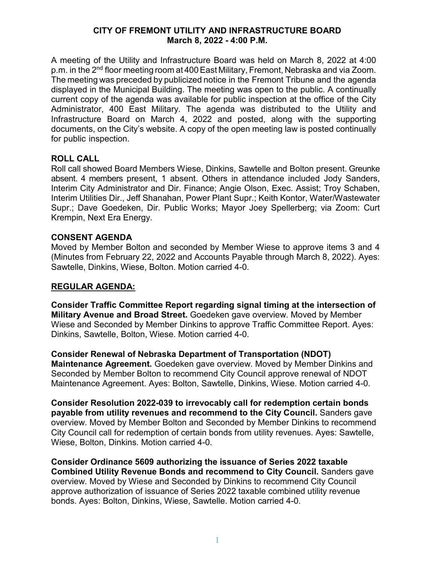#### **CITY OF FREMONT UTILITY AND INFRASTRUCTURE BOARD March 8, 2022 - 4:00 P.M.**

A meeting of the Utility and Infrastructure Board was held on March 8, 2022 at 4:00 p.m. in the 2<sup>nd</sup> floor meeting room at 400 East Military, Fremont, Nebraska and via Zoom. The meeting was preceded by publicized notice in the Fremont Tribune and the agenda displayed in the Municipal Building. The meeting was open to the public. A continually current copy of the agenda was available for public inspection at the office of the City Administrator, 400 East Military. The agenda was distributed to the Utility and Infrastructure Board on March 4, 2022 and posted, along with the supporting documents, on the City's website. A copy of the open meeting law is posted continually for public inspection.

### **ROLL CALL**

Roll call showed Board Members Wiese, Dinkins, Sawtelle and Bolton present. Greunke absent. 4 members present, 1 absent. Others in attendance included Jody Sanders, Interim City Administrator and Dir. Finance; Angie Olson, Exec. Assist; Troy Schaben, Interim Utilities Dir., Jeff Shanahan, Power Plant Supr.; Keith Kontor, Water/Wastewater Supr.; Dave Goedeken, Dir. Public Works; Mayor Joey Spellerberg; via Zoom: Curt Krempin, Next Era Energy.

### **CONSENT AGENDA**

Moved by Member Bolton and seconded by Member Wiese to approve items 3 and 4 (Minutes from February 22, 2022 and Accounts Payable through March 8, 2022). Ayes: Sawtelle, Dinkins, Wiese, Bolton. Motion carried 4-0.

## **REGULAR AGENDA:**

**Consider Traffic Committee Report regarding signal timing at the intersection of Military Avenue and Broad Street.** Goedeken gave overview. Moved by Member Wiese and Seconded by Member Dinkins to approve Traffic Committee Report. Ayes: Dinkins, Sawtelle, Bolton, Wiese. Motion carried 4-0.

**Consider Renewal of Nebraska Department of Transportation (NDOT) Maintenance Agreement.** Goedeken gave overview. Moved by Member Dinkins and Seconded by Member Bolton to recommend City Council approve renewal of NDOT Maintenance Agreement. Ayes: Bolton, Sawtelle, Dinkins, Wiese. Motion carried 4-0.

**Consider Resolution 2022-039 to irrevocably call for redemption certain bonds payable from utility revenues and recommend to the City Council.** Sanders gave overview. Moved by Member Bolton and Seconded by Member Dinkins to recommend City Council call for redemption of certain bonds from utility revenues. Ayes: Sawtelle, Wiese, Bolton, Dinkins. Motion carried 4-0.

**Consider Ordinance 5609 authorizing the issuance of Series 2022 taxable Combined Utility Revenue Bonds and recommend to City Council.** Sanders gave overview. Moved by Wiese and Seconded by Dinkins to recommend City Council approve authorization of issuance of Series 2022 taxable combined utility revenue bonds. Ayes: Bolton, Dinkins, Wiese, Sawtelle. Motion carried 4-0.